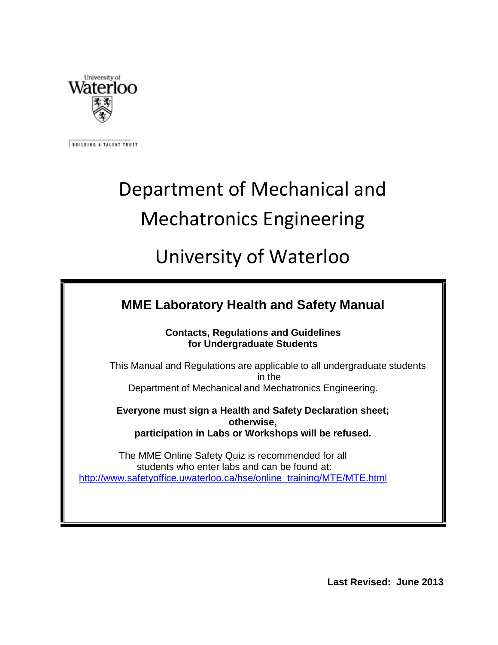

**BUILDING A TALENT TRUST** 

# Department of Mechanical and Mechatronics Engineering

## University of Waterloo

#### **Contacts, Regulations and Guidelines for Undergraduate Students**

This Manual and Regulations are applicable to all undergraduate students in the Department of Mechanical and Mechatronics Engineering.

**Everyone must sign a Health and Safety Declaration sheet; otherwise, participation in Labs or Workshops will be refused.**

The MME Online Safety Quiz is recommended for all students who enter labs and can be found at: [http://www.safetyoffice.uwaterloo.ca/hse/online\\_training/MTE/MTE.html](http://www.safetyoffice.uwaterloo.ca/hse/online_training/MTE/MTE.html)

**Last Revised: June 2013**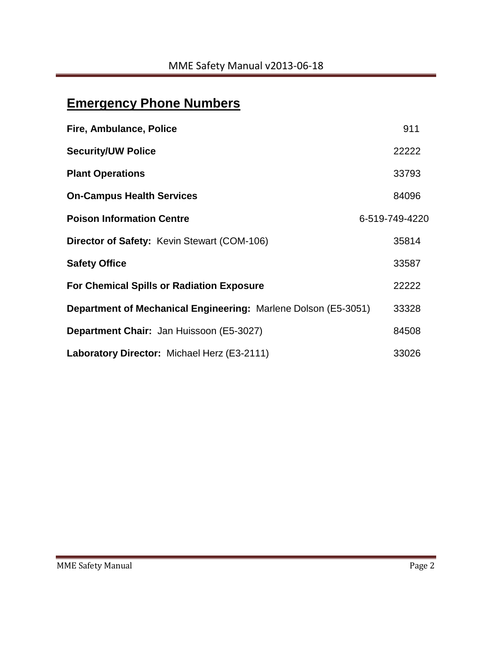### **Emergency Phone Numbers**

| Fire, Ambulance, Police                                               | 911            |
|-----------------------------------------------------------------------|----------------|
| <b>Security/UW Police</b>                                             | 22222          |
| <b>Plant Operations</b>                                               | 33793          |
| <b>On-Campus Health Services</b>                                      | 84096          |
| <b>Poison Information Centre</b>                                      | 6-519-749-4220 |
| <b>Director of Safety: Kevin Stewart (COM-106)</b>                    | 35814          |
| <b>Safety Office</b>                                                  | 33587          |
| <b>For Chemical Spills or Radiation Exposure</b>                      | 22222          |
| <b>Department of Mechanical Engineering: Marlene Dolson (E5-3051)</b> | 33328          |
| Department Chair: Jan Huissoon (E5-3027)                              | 84508          |
| Laboratory Director: Michael Herz (E3-2111)                           | 33026          |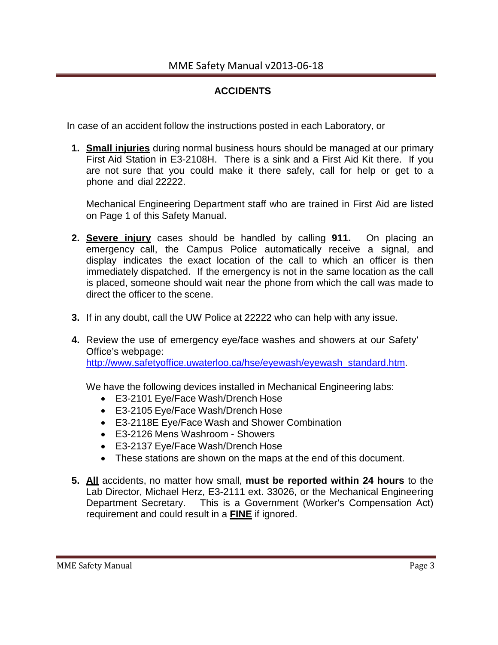#### **ACCIDENTS**

In case of an accident follow the instructions posted in each Laboratory, or

**1. Small injuries** during normal business hours should be managed at our primary First Aid Station in E3-2108H. There is a sink and a First Aid Kit there. If you are not sure that you could make it there safely, call for help or get to a phone and dial 22222.

Mechanical Engineering Department staff who are trained in First Aid are listed on Page 1 of this Safety Manual.

- **2. Severe injury** cases should be handled by calling **911.** On placing an emergency call, the Campus Police automatically receive a signal, and display indicates the exact location of the call to which an officer is then immediately dispatched. If the emergency is not in the same location as the call is placed, someone should wait near the phone from which the call was made to direct the officer to the scene.
- **3.** If in any doubt, call the UW Police at 22222 who can help with any issue.
- **4.** Review the use of emergency eye/face washes and showers at our Safety' Office's webpage: [http://www.safetyoffice.uwaterloo.ca/hse/eyewash/eyewash\\_standard.htm.](http://www.safetyoffice.uwaterloo.ca/hse/eyewash/eyewash_standard.htm)

We have the following devices installed in Mechanical Engineering labs:

- E3-2101 Eye/Face Wash/Drench Hose
- E3-2105 Eye/Face Wash/Drench Hose
- E3-2118E Eye/Face Wash and Shower Combination
- E3-2126 Mens Washroom Showers
- E3-2137 Eye/Face Wash/Drench Hose
- These stations are shown on the maps at the end of this document.
- **5. All** accidents, no matter how small, **must be reported within 24 hours** to the Lab Director, Michael Herz, E3-2111 ext. 33026, or the Mechanical Engineering Department Secretary. This is a Government (Worker's Compensation Act) requirement and could result in a **FINE** if ignored.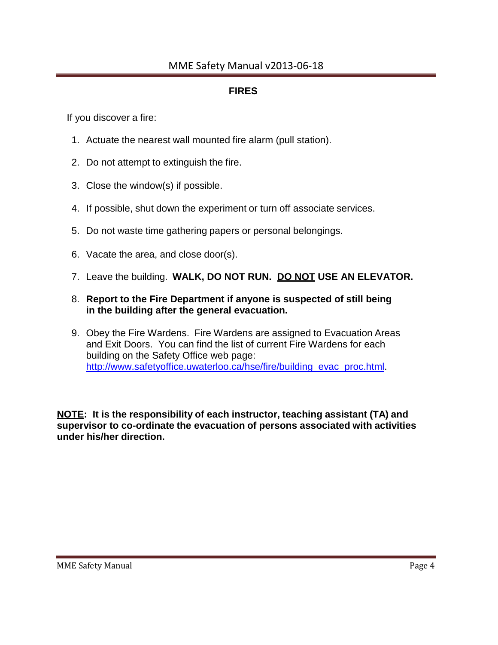#### MME Safety Manual v2013-06-18

#### **FIRES**

If you discover a fire:

- 1. Actuate the nearest wall mounted fire alarm (pull station).
- 2. Do not attempt to extinguish the fire.
- 3. Close the window(s) if possible.
- 4. If possible, shut down the experiment or turn off associate services.
- 5. Do not waste time gathering papers or personal belongings.
- 6. Vacate the area, and close door(s).
- 7. Leave the building. **WALK, DO NOT RUN. DO NOT USE AN ELEVATOR.**
- 8. **Report to the Fire Department if anyone is suspected of still being in the building after the general evacuation.**
- 9. Obey the Fire Wardens. Fire Wardens are assigned to Evacuation Areas and Exit Doors. You can find the list of current Fire Wardens for each building on the Safety Office web page: [http://www.safetyoffice.uwaterloo.ca/hse/fire/building\\_evac\\_proc.html.](http://www.safetyoffice.uwaterloo.ca/hse/fire/building_evac_proc.html)

**NOTE: It is the responsibility of each instructor, teaching assistant (TA) and supervisor to co-ordinate the evacuation of persons associated with activities under his/her direction.**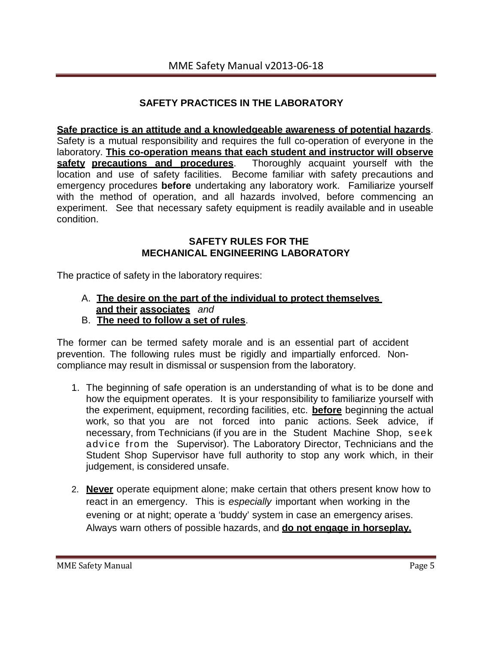#### **SAFETY PRACTICES IN THE LABORATORY**

**Safe practice is an attitude and a knowledgeable awareness of potential hazards**. Safety is a mutual responsibility and requires the full co-operation of everyone in the laboratory. **This co-operation means that each student and instructor will observe safety precautions** and **procedures**. location and use of safety facilities. Become familiar with safety precautions and emergency procedures **before** undertaking any laboratory work. Familiarize yourself with the method of operation, and all hazards involved, before commencing an experiment. See that necessary safety equipment is readily available and in useable condition.

#### **SAFETY RULES FOR THE MECHANICAL ENGINEERING LABORATORY**

The practice of safety in the laboratory requires:

- A. **The desire on the part of the individual to protect themselves and their associates** *and*
- B. **The need to follow a set of rules**.

The former can be termed safety morale and is an essential part of accident prevention. The following rules must be rigidly and impartially enforced. Noncompliance may result in dismissal or suspension from the laboratory.

- 1. The beginning of safe operation is an understanding of what is to be done and how the equipment operates. It is your responsibility to familiarize yourself with the experiment, equipment, recording facilities, etc. **before** beginning the actual work, so that you are not forced into panic actions. Seek advice, if necessary, from Technicians (if you are in the Student Machine Shop, seek advice from the Supervisor). The Laboratory Director, Technicians and the Student Shop Supervisor have full authority to stop any work which, in their judgement, is considered unsafe.
- 2. **Never** operate equipment alone; make certain that others present know how to react in an emergency. This is *especially* important when working in the evening or at night; operate a 'buddy' system in case an emergency arises. Always warn others of possible hazards, and **do not engage in horseplay.**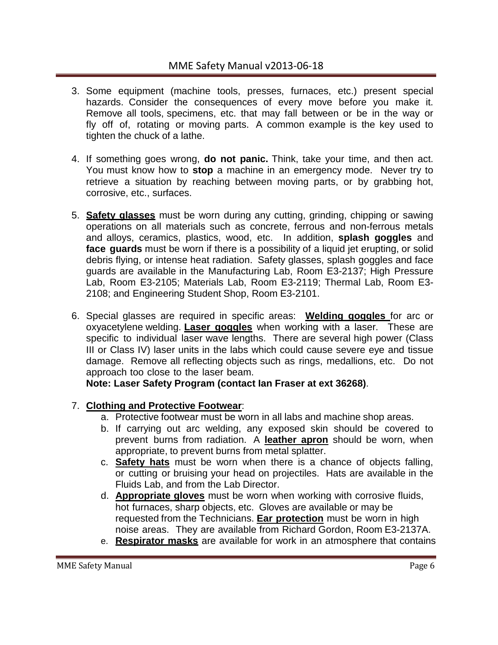- 3. Some equipment (machine tools, presses, furnaces, etc.) present special hazards. Consider the consequences of every move before you make it. Remove all tools, specimens, etc. that may fall between or be in the way or fly off of, rotating or moving parts. A common example is the key used to tighten the chuck of a lathe.
- 4. If something goes wrong, **do not panic.** Think, take your time, and then act. You must know how to **stop** a machine in an emergency mode. Never try to retrieve a situation by reaching between moving parts, or by grabbing hot, corrosive, etc., surfaces.
- 5. **Safety glasses** must be worn during any cutting, grinding, chipping or sawing operations on all materials such as concrete, ferrous and non-ferrous metals and alloys, ceramics, plastics, wood, etc. In addition, **splash goggles** and **face guards** must be worn if there is a possibility of a liquid jet erupting, or solid debris flying, or intense heat radiation. Safety glasses, splash goggles and face guards are available in the Manufacturing Lab, Room E3-2137; High Pressure Lab, Room E3-2105; Materials Lab, Room E3-2119; Thermal Lab, Room E3- 2108; and Engineering Student Shop, Room E3-2101.
- 6. Special glasses are required in specific areas: **Welding goggles** for arc or oxyacetylene welding. **Laser goggles** when working with a laser. These are specific to individual laser wave lengths. There are several high power (Class III or Class IV) laser units in the labs which could cause severe eye and tissue damage. Remove all reflecting objects such as rings, medallions, etc. Do not approach too close to the laser beam.

**Note: Laser Safety Program (contact Ian Fraser at ext 36268)**.

#### 7. **Clothing and Protective Footwear**:

- a. Protective footwear must be worn in all labs and machine shop areas.
- b. If carrying out arc welding, any exposed skin should be covered to prevent burns from radiation. A **leather apron** should be worn, when appropriate, to prevent burns from metal splatter.
- c. **Safety hats** must be worn when there is a chance of objects falling, or cutting or bruising your head on projectiles. Hats are available in the Fluids Lab, and from the Lab Director.
- d. **Appropriate gloves** must be worn when working with corrosive fluids, hot furnaces, sharp objects, etc. Gloves are available or may be requested from the Technicians. **Ear protection** must be worn in high noise areas. They are available from Richard Gordon, Room E3-2137A.
- e. **Respirator masks** are available for work in an atmosphere that contains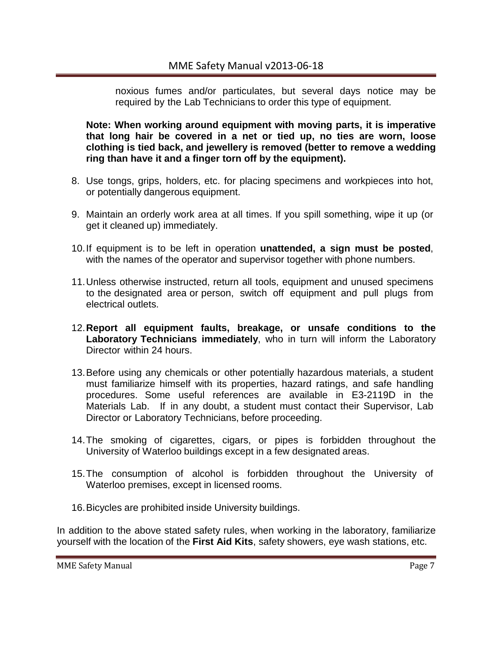noxious fumes and/or particulates, but several days notice may be required by the Lab Technicians to order this type of equipment.

**Note: When working around equipment with moving parts, it is imperative that long hair be covered in a net or tied up, no ties are worn, loose clothing is tied back, and jewellery is removed (better to remove a wedding ring than have it and a finger torn off by the equipment).**

- 8. Use tongs, grips, holders, etc. for placing specimens and workpieces into hot, or potentially dangerous equipment.
- 9. Maintain an orderly work area at all times. If you spill something, wipe it up (or get it cleaned up) immediately.
- 10.If equipment is to be left in operation **unattended, a sign must be posted**, with the names of the operator and supervisor together with phone numbers.
- 11.Unless otherwise instructed, return all tools, equipment and unused specimens to the designated area or person, switch off equipment and pull plugs from electrical outlets.
- 12.**Report all equipment faults, breakage, or unsafe conditions to the Laboratory Technicians immediately**, who in turn will inform the Laboratory Director within 24 hours.
- 13.Before using any chemicals or other potentially hazardous materials, a student must familiarize himself with its properties, hazard ratings, and safe handling procedures. Some useful references are available in E3-2119D in the Materials Lab. If in any doubt, a student must contact their Supervisor, Lab Director or Laboratory Technicians, before proceeding.
- 14.The smoking of cigarettes, cigars, or pipes is forbidden throughout the University of Waterloo buildings except in a few designated areas.
- 15.The consumption of alcohol is forbidden throughout the University of Waterloo premises, except in licensed rooms.
- 16.Bicycles are prohibited inside University buildings.

In addition to the above stated safety rules, when working in the laboratory, familiarize yourself with the location of the **First Aid Kits**, safety showers, eye wash stations, etc.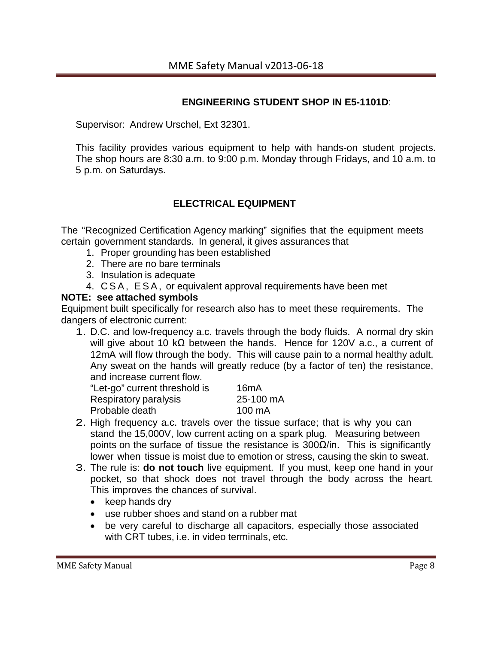#### **ENGINEERING STUDENT SHOP IN E5-1101D**:

Supervisor: Andrew Urschel, Ext 32301.

This facility provides various equipment to help with hands-on student projects. The shop hours are 8:30 a.m. to 9:00 p.m. Monday through Fridays, and 10 a.m. to 5 p.m. on Saturdays.

#### **ELECTRICAL EQUIPMENT**

The "Recognized Certification Agency marking" signifies that the equipment meets certain government standards. In general, it gives assurances that

- 1. Proper grounding has been established
- 2. There are no bare terminals
- 3. Insulation is adequate
- 4. CSA, ESA, or equivalent approval requirements have been met

#### **NOTE: see attached symbols**

Equipment built specifically for research also has to meet these requirements. The dangers of electronic current:

1. D.C. and low-frequency a.c. travels through the body fluids. A normal dry skin will give about 10 kΩ between the hands. Hence for 120V a.c., a current of 12mA will flow through the body. This will cause pain to a normal healthy adult. Any sweat on the hands will greatly reduce (by a factor of ten) the resistance, and increase current flow.

| "Let-go" current threshold is | 16 <sub>m</sub> A |
|-------------------------------|-------------------|
| Respiratory paralysis         | 25-100 mA         |
| Probable death                | $100 \text{ mA}$  |

- 2. High frequency a.c. travels over the tissue surface; that is why you can stand the 15,000V, low current acting on a spark plug. Measuring between points on the surface of tissue the resistance is  $300\Omega/n$ . This is significantly lower when tissue is moist due to emotion or stress, causing the skin to sweat.
- 3. The rule is: **do not touch** live equipment. If you must, keep one hand in your pocket, so that shock does not travel through the body across the heart. This improves the chances of survival.
	- keep hands dry
	- use rubber shoes and stand on a rubber mat
	- be very careful to discharge all capacitors, especially those associated with CRT tubes, i.e. in video terminals, etc.